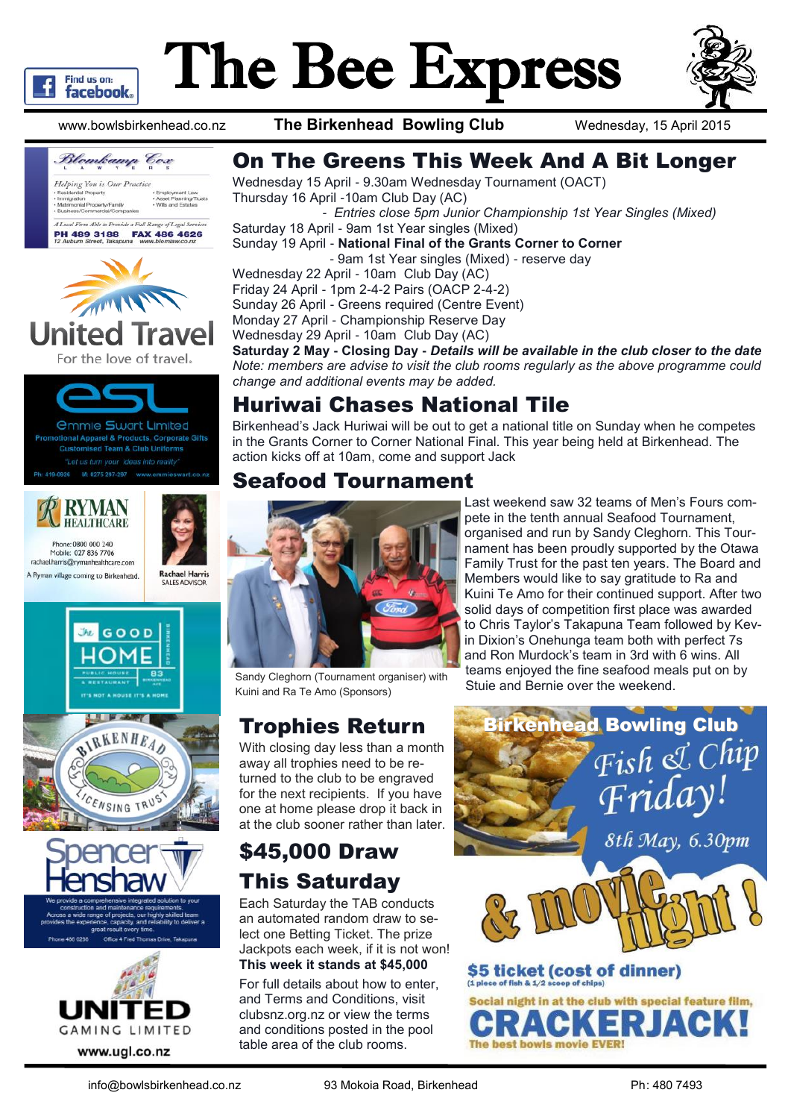

# The Bee Express



www.bowlsbirkenhead.co.nz **The Birkenhead Bowling Club** Wednesday, 15 April 2015



For the love of travel.



onal Apparel & Products, Corporate Gifts **Customised Team & Club Uniforms** 





rachael.harris@rymanhealthcare.com A Ryman village coming to Birkenhead.











### On The Greens This Week And A Bit Longer

Wednesday 15 April - 9.30am Wednesday Tournament (OACT) Thursday 16 April -10am Club Day (AC)

*- Entries close 5pm Junior Championship 1st Year Singles (Mixed)*

Saturday 18 April - 9am 1st Year singles (Mixed) Sunday 19 April - **National Final of the Grants Corner to Corner** - 9am 1st Year singles (Mixed) - reserve day

Wednesday 22 April - 10am Club Day (AC)

Friday 24 April - 1pm 2-4-2 Pairs (OACP 2-4-2) Sunday 26 April - Greens required (Centre Event) Monday 27 April - Championship Reserve Day Wednesday 29 April - 10am Club Day (AC)

**Saturday 2 May - Closing Day -** *Details will be available in the club closer to the date Note: members are advise to visit the club rooms regularly as the above programme could change and additional events may be added.*

### Huriwai Chases National Tile

Birkenhead's Jack Huriwai will be out to get a national title on Sunday when he competes in the Grants Corner to Corner National Final. This year being held at Birkenhead. The action kicks off at 10am, come and support Jack

#### Seafood Tournament



Sandy Cleghorn (Tournament organiser) with the studies enjoyed the life search of the weekend. Kuini and Ra Te Amo (Sponsors)

With closing day less than a month away all trophies need to be returned to the club to be engraved for the next recipients. If you have one at home please drop it back in at the club sooner rather than later.

# \$45,000 Draw This Saturday

Each Saturday the TAB conducts an automated random draw to select one Betting Ticket. The prize Jackpots each week, if it is not won! **This week it stands at \$45,000**

For full details about how to enter, and Terms and Conditions, visit clubsnz.org.nz or view the terms and conditions posted in the pool table area of the club rooms.

**Trophies Return Birkenhead Bowling Club** Fish & Chip Friday 8th May, 6.30pm \$5 ticket (cost of dinner)

Last weekend saw 32 teams of Men's Fours compete in the tenth annual Seafood Tournament, organised and run by Sandy Cleghorn. This Tournament has been proudly supported by the Otawa Family Trust for the past ten years. The Board and Members would like to say gratitude to Ra and Kuini Te Amo for their continued support. After two solid days of competition first place was awarded to Chris Taylor's Takapuna Team followed by Kevin Dixion's Onehunga team both with perfect 7s and Ron Murdock's team in 3rd with 6 wins. All teams enjoyed the fine seafood meals put on by